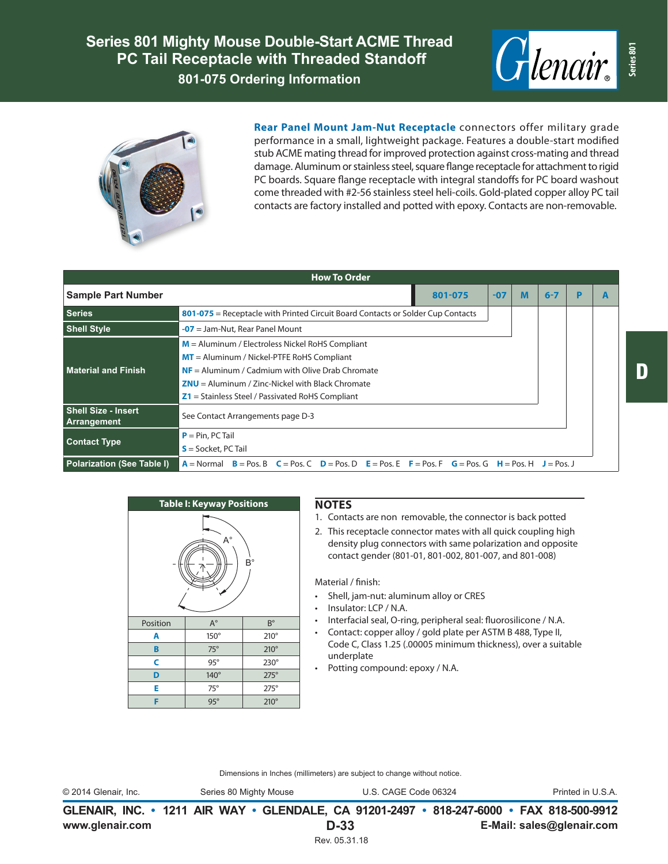**Series 801 Mighty Mouse Double-Start ACME Thread PC Tail Receptacle with Threaded Standoff 801-075 Ordering Information**





**Rear Panel Mount Jam-Nut Receptacle** connectors offer military grade performance in a small, lightweight package. Features a double-start modified stub ACME mating thread for improved protection against cross-mating and thread damage. Aluminum or stainless steel, square flange receptacle for attachment to rigid PC boards. Square flange receptacle with integral standoffs for PC board washout come threaded with #2-56 stainless steel heli-coils. Gold-plated copper alloy PC tail contacts are factory installed and potted with epoxy. Contacts are non-removable.

| <b>How To Order</b>                       |                                                                                                                                                                                                           |       |   |         |   |  |  |
|-------------------------------------------|-----------------------------------------------------------------------------------------------------------------------------------------------------------------------------------------------------------|-------|---|---------|---|--|--|
| <b>Sample Part Number</b>                 | 801-075                                                                                                                                                                                                   | $-07$ | M | $6 - 7$ | D |  |  |
| <b>Series</b>                             | 801-075 = Receptacle with Printed Circuit Board Contacts or Solder Cup Contacts                                                                                                                           |       |   |         |   |  |  |
| <b>Shell Style</b>                        | $-07$ = Jam-Nut, Rear Panel Mount                                                                                                                                                                         |       |   |         |   |  |  |
|                                           | $M =$ Aluminum / Electroless Nickel RoHS Compliant                                                                                                                                                        |       |   |         |   |  |  |
| <b>Material and Finish</b>                | $MT =$ Aluminum / Nickel-PTFE RoHS Compliant                                                                                                                                                              |       |   |         |   |  |  |
|                                           | $NF =$ Aluminum / Cadmium with Olive Drab Chromate                                                                                                                                                        |       |   |         |   |  |  |
|                                           | $ZNU =$ Aluminum / Zinc-Nickel with Black Chromate                                                                                                                                                        |       |   |         |   |  |  |
|                                           | $Z1$ = Stainless Steel / Passivated RoHS Compliant                                                                                                                                                        |       |   |         |   |  |  |
| <b>Shell Size - Insert</b><br>Arrangement | See Contact Arrangements page D-3                                                                                                                                                                         |       |   |         |   |  |  |
| <b>Contact Type</b>                       | $P = Pin, PC Tail$                                                                                                                                                                                        |       |   |         |   |  |  |
|                                           | $S =$ Socket, PC Tail                                                                                                                                                                                     |       |   |         |   |  |  |
| Polarization (See Table I)                | $A = \text{Normal}$ $B = \text{Pos}$ , $B$ $C = \text{Pos}$ , $C$ $D = \text{Pos}$ , $D$ $E = \text{Pos}$ , $E$ $F = \text{Pos}$ , $F$ $G = \text{Pos}$ , $G$ $H = \text{Pos}$ , $H$ $J = \text{Pos}$ , J |       |   |         |   |  |  |

| <b>Table I: Keyway Positions</b> |             |             |  |  |  |
|----------------------------------|-------------|-------------|--|--|--|
| A°<br>B°                         |             |             |  |  |  |
| Position                         | $A^{\circ}$ | $B^{\circ}$ |  |  |  |
| A                                | 150°        | $210^\circ$ |  |  |  |
| B                                | $75^\circ$  | $210^\circ$ |  |  |  |
| C                                | $95^\circ$  | $230^\circ$ |  |  |  |
| D                                | 140°        | $275^\circ$ |  |  |  |
| E                                | $75^\circ$  | $275^\circ$ |  |  |  |
| F                                | $95^\circ$  | $210^\circ$ |  |  |  |

## **NOTES**

- 1. Contacts are non removable, the connector is back potted
- 2. This receptacle connector mates with all quick coupling high density plug connectors with same polarization and opposite contact gender (801-01, 801-002, 801-007, and 801-008)

Material / finish:

- Shell, jam-nut: aluminum alloy or CRES
- Insulator: LCP / N.A.
- Interfacial seal, O-ring, peripheral seal: fluorosilicone / N.A.
- Contact: copper alloy / gold plate per ASTM B 488, Type II, Code C, Class 1.25 (.00005 minimum thickness), over a suitable underplate
- Potting compound: epoxy / N.A.

Dimensions in Inches (millimeters) are subject to change without notice.

**www.glenair.com E-Mail: sales@glenair.com GLENAIR, INC. • 1211 AIR WAY • GLENDALE, CA 91201-2497 • 818-247-6000 • FAX 818-500-9912 D-33** © 2014 Glenair, Inc. Series 80 Mighty Mouse U.S. CAGE Code 06324 Printed in U.S.A.

Rev. 05.31.18